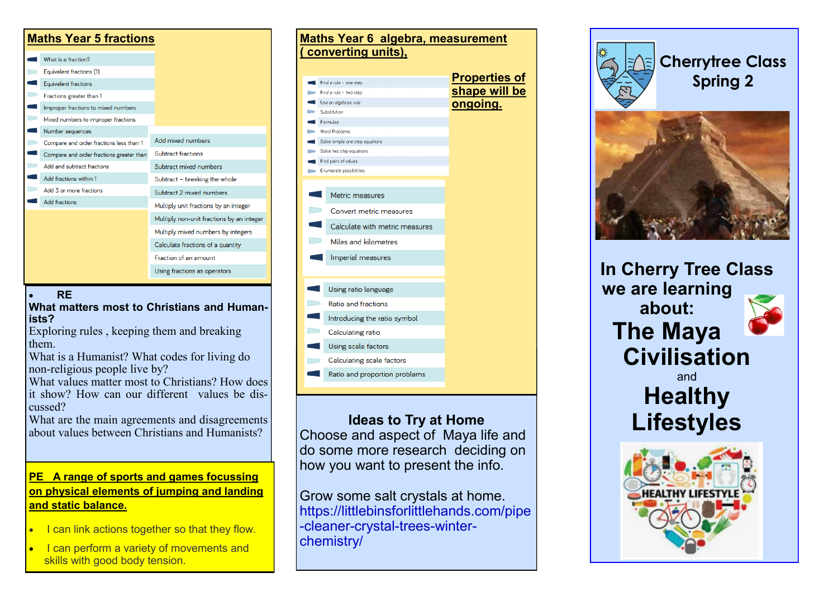| <b>Maths Year 5 fractions</b> |                                          |                                           |
|-------------------------------|------------------------------------------|-------------------------------------------|
|                               | What is a fraction?                      |                                           |
|                               | Equivalent fractions (1)                 |                                           |
|                               | <b>Equivalent fractions</b>              |                                           |
|                               | Fractions greater than 1                 |                                           |
|                               | Improper fractions to mixed numbers      |                                           |
|                               | Mixed numbers to improper fractions      |                                           |
|                               | Number sequences                         |                                           |
|                               | Compare and order fractions less than 1  | Add mixed numbers                         |
|                               | Compare and order fractions greater than | Subtract fractions                        |
|                               | Add and subtract fractions               | Subtract mixed numbers                    |
|                               | Add fractions within 1                   | Subtract - breaking the whole             |
|                               | Add 3 or more fractions                  | Subtract 2 mixed numbers                  |
|                               | <b>Add fractions</b>                     | Multiply unit fractions by an integer     |
|                               |                                          | Multiply non-unit fractions by an integer |
|                               |                                          | Multiply mixed numbers by integers        |
|                               |                                          | Calculate fractions of a quantity         |
|                               |                                          | Fraction of an amount                     |
|                               |                                          | Using fractions as operators              |

#### • **RE**

**What matters most to Christians and Humanists?**

Exploring rules , keeping them and breaking them.

What is a Humanist? What codes for living do non-religious people live by?

What values matter most to Christians? How does it show? How can our different values be discussed?

What are the main agreements and disagreements about values between Christians and Humanists?

#### **PE A range of sports and games focussing on physical elements of jumping and landing and static balance.**

- I can link actions together so that they flow.
- I can perform a variety of movements and skills with good body tension.



**Ideas to Try at Home**

Choose and aspect of Maya life and do some more research deciding on how you want to present the info.

Grow some salt crystals at home. https://littlebinsforlittlehands.com/pipe -cleaner-crystal-trees-winterchemistry/





**In Cherry Tree Class we are learning about: The Maya Civilisation** and **Healthy Lifestyles**